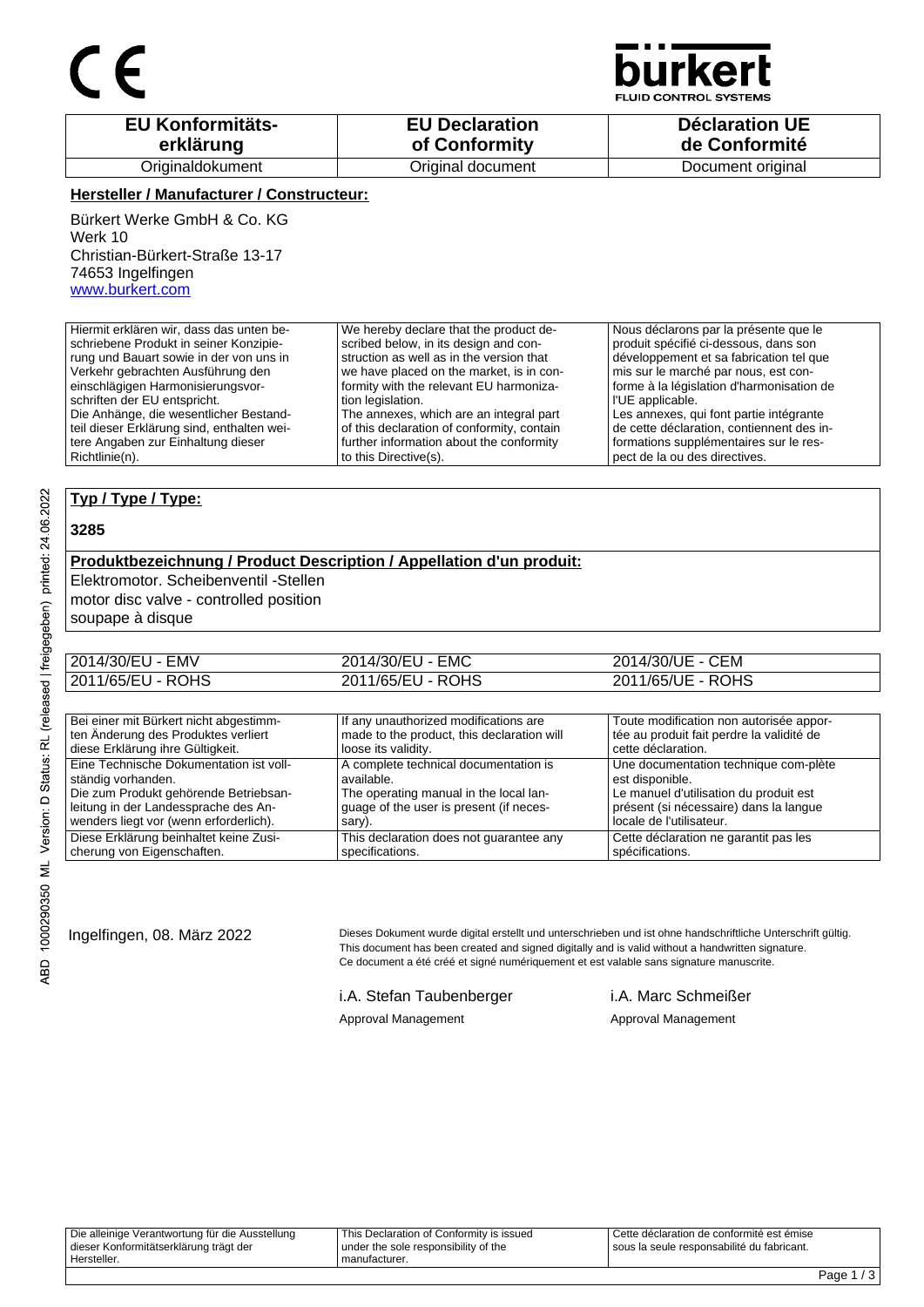

**JID CONTROL SYSTEMS** 

| <b>EU Konformitäts-</b> | <b>EU Declaration</b> | <b>Déclaration UE</b> |
|-------------------------|-----------------------|-----------------------|
| erklärung               | of Conformity         | de Conformité         |
| Originaldokument        | Original document     | Document original     |

### **Hersteller / Manufacturer / Constructeur:**

Bürkert Werke GmbH & Co. KG Werk 10 Christian-Bürkert-Straße 13-17 74653 Ingelfingen www.burkert.com

Die Anhänge, die wesentlicher Bestandteil dieser Erklärung sind, enthalten weitere Angaben zur Einhaltung dieser

Hiermit erklären wir, dass das unten beschriebene Produkt in seiner Konzipierung und Bauart sowie in der von uns in Verkehr gebrachten Ausführung den einschlägigen Harmonisierungsvorschriften der EU entspricht. We hereby declare that the product described below, in its design and construction as well as in the version that we have placed on the market, is in conformity with the relevant EU harmonization legislation.

The annexes, which are an integral part of this declaration of conformity, contain further information about the conformity to this Directive(s).

Nous déclarons par la présente que le produit spécifié ci-dessous, dans son développement et sa fabrication tel que mis sur le marché par nous, est conforme à la législation d'harmonisation de l'UE applicable. Les annexes, qui font partie intégrante

de cette déclaration, contiennent des informations supplémentaires sur le respect de la ou des directives.

## **Typ / Type / Type:**

#### **3285**

Richtlinie(n).

### **Produktbezeichnung / Product Description / Appellation d'un produit:**

Elektromotor. Scheibenventil -Stellen

motor disc valve - controlled position

soupape à disque

| 2014/30/EU - EMV  | 2014/30/EU - EMC  | 2014/30/UE - CEM  |
|-------------------|-------------------|-------------------|
| 2011/65/EU - ROHS | 2011/65/EU - ROHS | 2011/65/UE - ROHS |

| Bei einer mit Bürkert nicht abgestimm-  | If any unauthorized modifications are      | Toute modification non autorisée appor-   |
|-----------------------------------------|--------------------------------------------|-------------------------------------------|
| ten Änderung des Produktes verliert     | made to the product, this declaration will | tée au produit fait perdre la validité de |
| diese Erklärung ihre Gültigkeit.        | loose its validity.                        | cette déclaration.                        |
| Eine Technische Dokumentation ist voll- | A complete technical documentation is      | Une documentation technique com-plète     |
| ständig vorhanden.                      | available.                                 | est disponible.                           |
| Die zum Produkt gehörende Betriebsan-   | The operating manual in the local lan-     | Le manuel d'utilisation du produit est    |
| leitung in der Landessprache des An-    | guage of the user is present (if neces-    | présent (si nécessaire) dans la langue    |
| wenders liegt vor (wenn erforderlich).  | sary).                                     | locale de l'utilisateur.                  |
| Diese Erklärung beinhaltet keine Zusi-  | This declaration does not guarantee any    | Cette déclaration ne garantit pas les     |
| cherung von Eigenschaften.              | specifications.                            | spécifications.                           |

Ingelfingen, 08. März 2022 Dieses Dokument wurde digital erstellt und unterschrieben und ist ohne handschriftliche Unterschrift gültig. This document has been created and signed digitally and is valid without a handwritten signature. Ce document a été créé et signé numériquement et est valable sans signature manuscrite.

i.A. Stefan Taubenberger i.A. Marc Schmeißer

Approval Management Approval Management

| Die alleinige Verantwortung für die Ausstellung<br>dieser Konformitätserklärung trägt der | This Declaration of Conformity is issued<br>under the sole responsibility of the | LCette déclaration de conformité est émise<br>sous la seule responsabilité du fabricant. |
|-------------------------------------------------------------------------------------------|----------------------------------------------------------------------------------|------------------------------------------------------------------------------------------|
| Hersteller.                                                                               | manufacturer.                                                                    |                                                                                          |
|                                                                                           |                                                                                  |                                                                                          |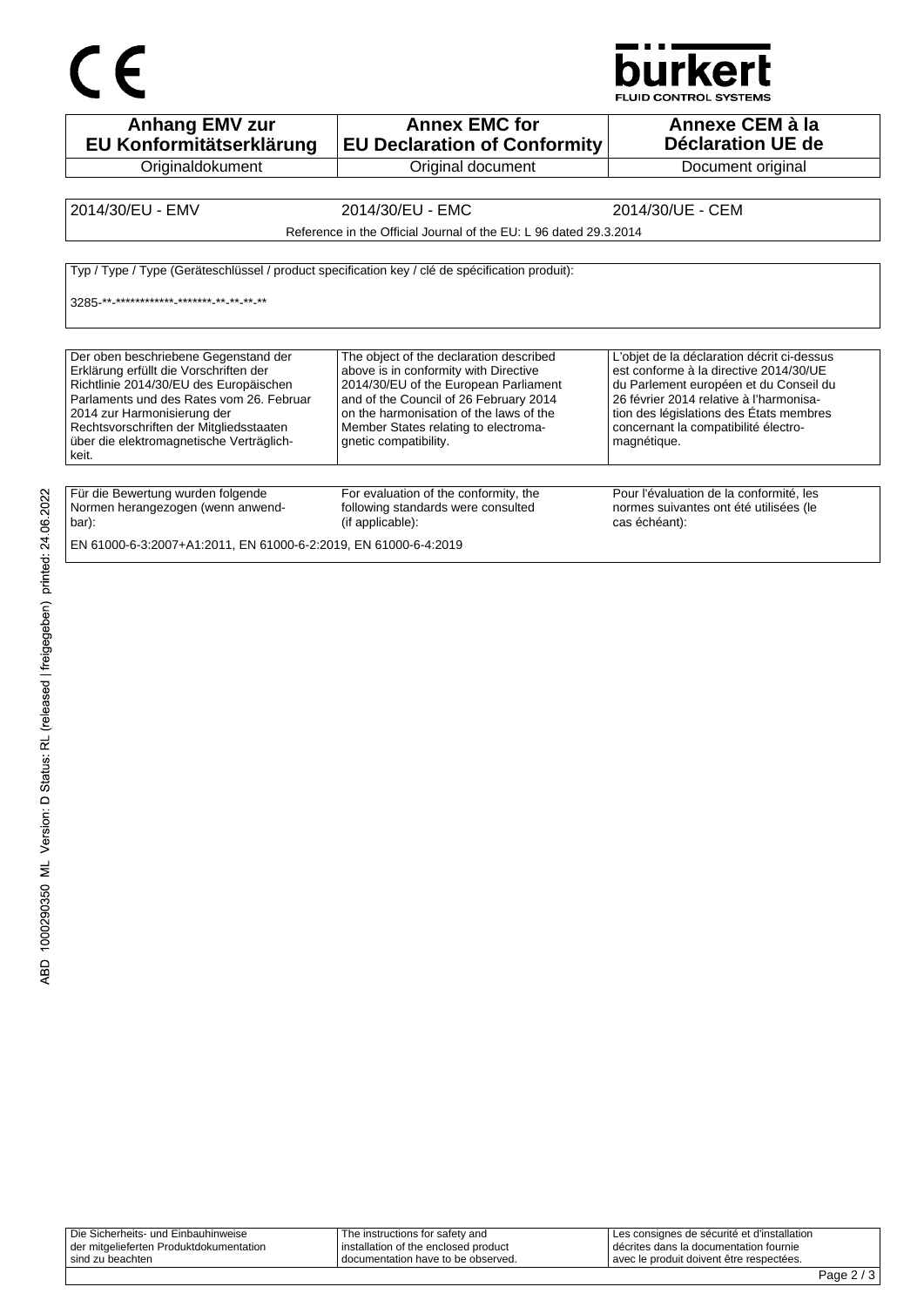

**Anhang EMV zur EU Konformitätserklärung Originaldokument Annex EMC for EU Declaration of Conformity** Original document **Annexe CEM à la Déclaration UE de**  Document original 2014/30/EU - EMV 2014/30/EU - EMC 2014/30/UE - CEM Reference in the Official Journal of the EU: L 96 dated 29.3.2014 Typ / Type / Type (Geräteschlüssel / product specification key / clé de spécification produit): 3285-\*\*\_\*\*\*\*\*\*\*\*\*\*\*\*\*\_\*\*\*\*\*\*<sub>-</sub>\*\*\_\*\*\_\*\* Der oben beschriebene Gegenstand der Erklärung erfüllt die Vorschriften der Richtlinie 2014/30/EU des Europäischen Parlaments und des Rates vom 26. Februar 2014 zur Harmonisierung der Rechtsvorschriften der Mitgliedsstaaten über die elektromagnetische Verträglichkeit. The object of the declaration described above is in conformity with Directive 2014/30/EU of the European Parliament and of the Council of 26 February 2014 on the harmonisation of the laws of the Member States relating to electromagnetic compatibility. L'objet de la déclaration décrit ci-dessus est conforme à la directive 2014/30/UE du Parlement européen et du Conseil du 26 février 2014 relative à l'harmonisation des législations des États membres concernant la compatibilité électromagnétique. Für die Bewertung wurden folgende Normen herangezogen (wenn anwendbar): For evaluation of the conformity, the following standards were consulted (if applicable): Pour l'évaluation de la conformité, les normes suivantes ont été utilisées (le cas échéant): EN 61000-6-3:2007+A1:2011, EN 61000-6-2:2019, EN 61000-6-4:2019

| Die Sicherheits- und Einbauhinweise     | The instructions for safety and      | I Les consignes de sécurité et d'installation |
|-----------------------------------------|--------------------------------------|-----------------------------------------------|
| der mitgelieferten Produktdokumentation | installation of the enclosed product | décrites dans la documentation fournie        |
| sind zu beachten                        | documentation have to be observed.   | l avec le produit doivent être respectées.    |